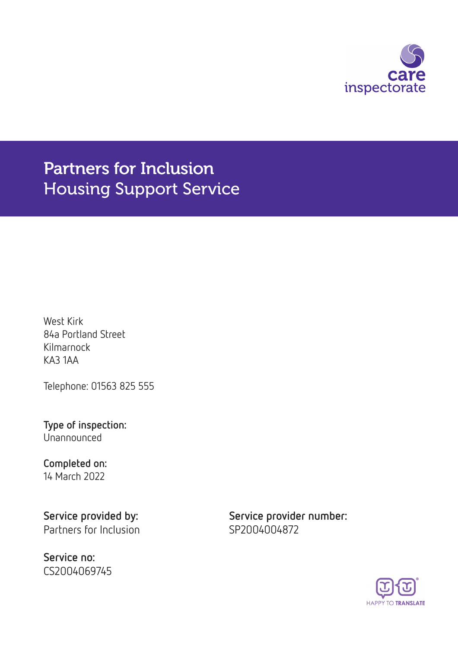

Partners for Inclusion Housing Support Service

West Kirk 84a Portland Street Kilmarnock KA3 1AA

Telephone: 01563 825 555

Type of inspection: Unannounced

#### Completed on: 14 March 2022

Partners for Inclusion SP2004004872

Service no: CS2004069745

Service provided by: Service provider number:

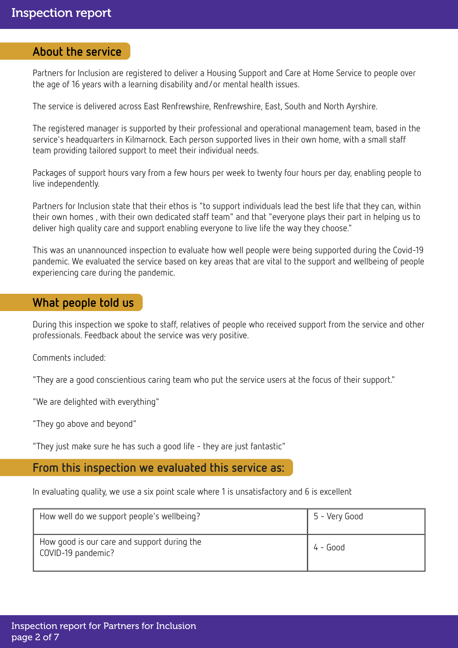#### About the service

Partners for Inclusion are registered to deliver a Housing Support and Care at Home Service to people over the age of 16 years with a learning disability and/or mental health issues.

The service is delivered across East Renfrewshire, Renfrewshire, East, South and North Ayrshire.

The registered manager is supported by their professional and operational management team, based in the service's headquarters in Kilmarnock. Each person supported lives in their own home, with a small staff team providing tailored support to meet their individual needs.

Packages of support hours vary from a few hours per week to twenty four hours per day, enabling people to live independently.

Partners for Inclusion state that their ethos is "to support individuals lead the best life that they can, within their own homes , with their own dedicated staff team" and that "everyone plays their part in helping us to deliver high quality care and support enabling everyone to live life the way they choose."

This was an unannounced inspection to evaluate how well people were being supported during the Covid-19 pandemic. We evaluated the service based on key areas that are vital to the support and wellbeing of people experiencing care during the pandemic.

### What people told us

During this inspection we spoke to staff, relatives of people who received support from the service and other professionals. Feedback about the service was very positive.

Comments included:

"They are a good conscientious caring team who put the service users at the focus of their support."

"We are delighted with everything"

"They go above and beyond"

"They just make sure he has such a good life - they are just fantastic"

### From this inspection we evaluated this service as:

In evaluating quality, we use a six point scale where 1 is unsatisfactory and 6 is excellent

| How well do we support people's wellbeing?                        | 5 - Very Good |
|-------------------------------------------------------------------|---------------|
| How good is our care and support during the<br>COVID-19 pandemic? | $4 - Good$    |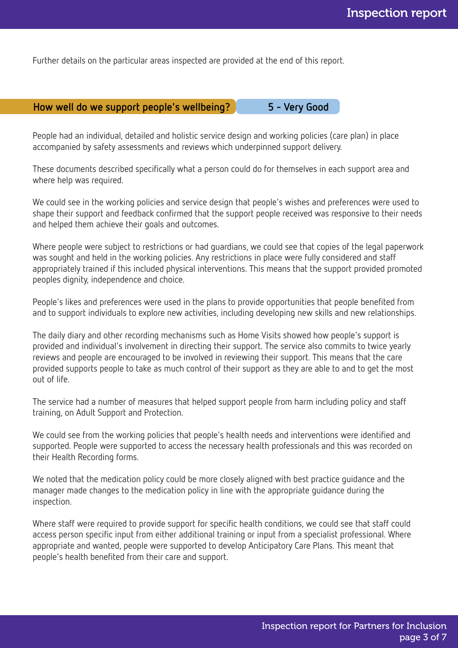Further details on the particular areas inspected are provided at the end of this report.

### How well do we support people's wellbeing? 3 - Very Good

People had an individual, detailed and holistic service design and working policies (care plan) in place accompanied by safety assessments and reviews which underpinned support delivery.

These documents described specifically what a person could do for themselves in each support area and where help was required.

We could see in the working policies and service design that people's wishes and preferences were used to shape their support and feedback confirmed that the support people received was responsive to their needs and helped them achieve their goals and outcomes.

Where people were subject to restrictions or had guardians, we could see that copies of the legal paperwork was sought and held in the working policies. Any restrictions in place were fully considered and staff appropriately trained if this included physical interventions. This means that the support provided promoted peoples dignity, independence and choice.

People's likes and preferences were used in the plans to provide opportunities that people benefited from and to support individuals to explore new activities, including developing new skills and new relationships.

The daily diary and other recording mechanisms such as Home Visits showed how people's support is provided and individual's involvement in directing their support. The service also commits to twice yearly reviews and people are encouraged to be involved in reviewing their support. This means that the care provided supports people to take as much control of their support as they are able to and to get the most out of life.

The service had a number of measures that helped support people from harm including policy and staff training, on Adult Support and Protection.

We could see from the working policies that people's health needs and interventions were identified and supported. People were supported to access the necessary health professionals and this was recorded on their Health Recording forms.

We noted that the medication policy could be more closely aligned with best practice guidance and the manager made changes to the medication policy in line with the appropriate guidance during the inspection.

Where staff were required to provide support for specific health conditions, we could see that staff could access person specific input from either additional training or input from a specialist professional. Where appropriate and wanted, people were supported to develop Anticipatory Care Plans. This meant that people's health benefited from their care and support.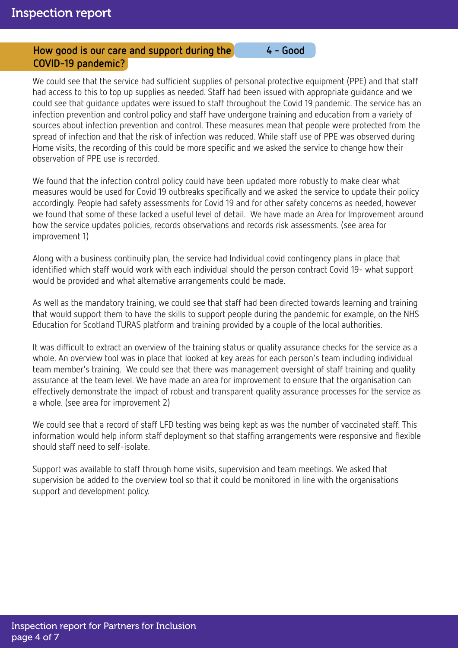### How good is our care and support during the 4 - Good COVID-19 pandemic?

We could see that the service had sufficient supplies of personal protective equipment (PPE) and that staff had access to this to top up supplies as needed. Staff had been issued with appropriate guidance and we could see that guidance updates were issued to staff throughout the Covid 19 pandemic. The service has an infection prevention and control policy and staff have undergone training and education from a variety of sources about infection prevention and control. These measures mean that people were protected from the spread of infection and that the risk of infection was reduced. While staff use of PPE was observed during Home visits, the recording of this could be more specific and we asked the service to change how their observation of PPE use is recorded.

We found that the infection control policy could have been updated more robustly to make clear what measures would be used for Covid 19 outbreaks specifically and we asked the service to update their policy accordingly. People had safety assessments for Covid 19 and for other safety concerns as needed, however we found that some of these lacked a useful level of detail. We have made an Area for Improvement around how the service updates policies, records observations and records risk assessments. (see area for improvement 1)

Along with a business continuity plan, the service had Individual covid contingency plans in place that identified which staff would work with each individual should the person contract Covid 19- what support would be provided and what alternative arrangements could be made.

As well as the mandatory training, we could see that staff had been directed towards learning and training that would support them to have the skills to support people during the pandemic for example, on the NHS Education for Scotland TURAS platform and training provided by a couple of the local authorities.

It was difficult to extract an overview of the training status or quality assurance checks for the service as a whole. An overview tool was in place that looked at key areas for each person's team including individual team member's training. We could see that there was management oversight of staff training and quality assurance at the team level. We have made an area for improvement to ensure that the organisation can effectively demonstrate the impact of robust and transparent quality assurance processes for the service as a whole. (see area for improvement 2)

We could see that a record of staff LFD testing was being kept as was the number of vaccinated staff. This information would help inform staff deployment so that staffing arrangements were responsive and flexible should staff need to self-isolate.

Support was available to staff through home visits, supervision and team meetings. We asked that supervision be added to the overview tool so that it could be monitored in line with the organisations support and development policy.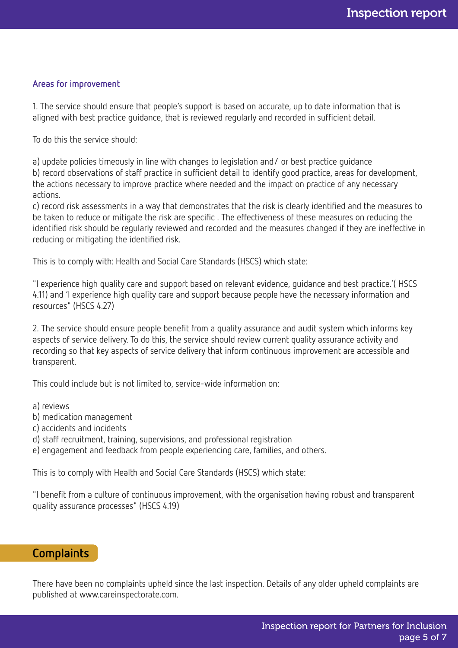#### Areas for improvement

1. The service should ensure that people's support is based on accurate, up to date information that is aligned with best practice guidance, that is reviewed regularly and recorded in sufficient detail.

To do this the service should:

a) update policies timeously in line with changes to legislation and/ or best practice guidance

b) record observations of staff practice in sufficient detail to identify good practice, areas for development, the actions necessary to improve practice where needed and the impact on practice of any necessary actions.

c) record risk assessments in a way that demonstrates that the risk is clearly identified and the measures to be taken to reduce or mitigate the risk are specific . The effectiveness of these measures on reducing the identified risk should be regularly reviewed and recorded and the measures changed if they are ineffective in reducing or mitigating the identified risk.

This is to comply with: Health and Social Care Standards (HSCS) which state:

"I experience high quality care and support based on relevant evidence, guidance and best practice.'( HSCS 4.11) and 'I experience high quality care and support because people have the necessary information and resources" (HSCS 4.27)

2. The service should ensure people benefit from a quality assurance and audit system which informs key aspects of service delivery. To do this, the service should review current quality assurance activity and recording so that key aspects of service delivery that inform continuous improvement are accessible and transparent.

This could include but is not limited to, service-wide information on:

a) reviews

b) medication management

c) accidents and incidents

d) staff recruitment, training, supervisions, and professional registration

e) engagement and feedback from people experiencing care, families, and others.

This is to comply with Health and Social Care Standards (HSCS) which state:

"I benefit from a culture of continuous improvement, with the organisation having robust and transparent quality assurance processes" (HSCS 4.19)

### Complaints

There have been no complaints upheld since the last inspection. Details of any older upheld complaints are published at www.careinspectorate.com.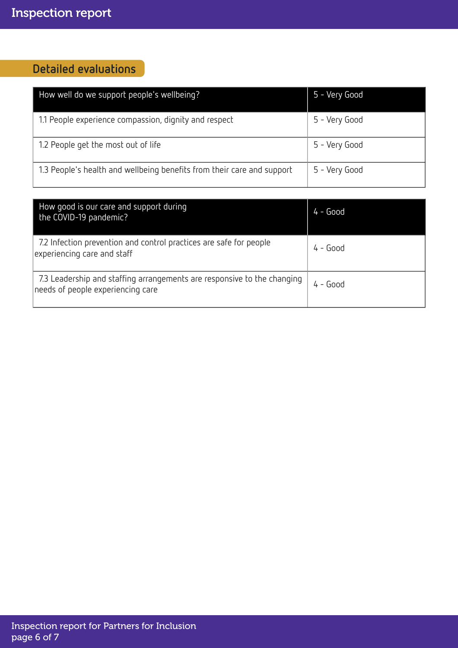# Detailed evaluations

| How well do we support people's wellbeing?                             | 5 - Very Good |
|------------------------------------------------------------------------|---------------|
| 1.1 People experience compassion, dignity and respect                  | 5 - Very Good |
| 1.2 People get the most out of life                                    | 5 - Very Good |
| 1.3 People's health and wellbeing benefits from their care and support | 5 - Very Good |

| How good is our care and support during<br>the COVID-19 pandemic?                                            | $4 - Good$ |
|--------------------------------------------------------------------------------------------------------------|------------|
| 7.2 Infection prevention and control practices are safe for people<br>experiencing care and staff            | $4 - Good$ |
| 7.3 Leadership and staffing arrangements are responsive to the changing<br>needs of people experiencing care | $4 - Good$ |